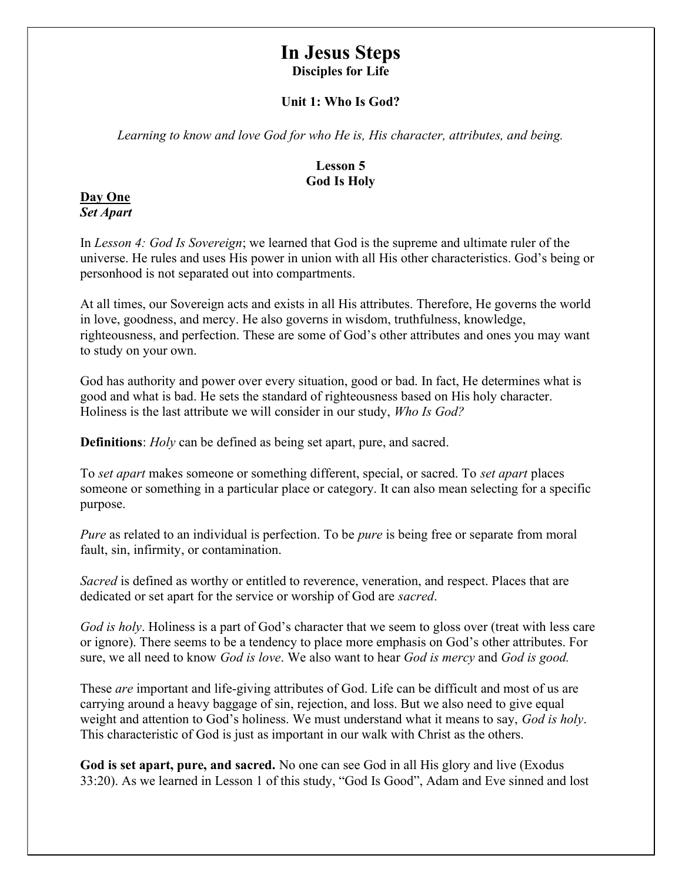# In Jesus Steps Disciples for Life

## Unit 1: Who Is God?

Learning to know and love God for who He is, His character, attributes, and being.

## Lesson 5 God Is Holy

#### Day One Set Apart

In Lesson 4: God Is Sovereign; we learned that God is the supreme and ultimate ruler of the universe. He rules and uses His power in union with all His other characteristics. God's being or personhood is not separated out into compartments.

At all times, our Sovereign acts and exists in all His attributes. Therefore, He governs the world in love, goodness, and mercy. He also governs in wisdom, truthfulness, knowledge, righteousness, and perfection. These are some of God's other attributes and ones you may want to study on your own.

God has authority and power over every situation, good or bad. In fact, He determines what is good and what is bad. He sets the standard of righteousness based on His holy character. Holiness is the last attribute we will consider in our study, Who Is God?

Definitions: *Holy* can be defined as being set apart, pure, and sacred.

To *set apart* makes someone or something different, special, or sacred. To *set apart* places someone or something in a particular place or category. It can also mean selecting for a specific purpose.

Pure as related to an individual is perfection. To be *pure* is being free or separate from moral fault, sin, infirmity, or contamination.

Sacred is defined as worthy or entitled to reverence, veneration, and respect. Places that are dedicated or set apart for the service or worship of God are *sacred*.

God is holy. Holiness is a part of God's character that we seem to gloss over (treat with less care or ignore). There seems to be a tendency to place more emphasis on God's other attributes. For sure, we all need to know *God is love*. We also want to hear *God is mercy* and *God is good*.

These are important and life-giving attributes of God. Life can be difficult and most of us are carrying around a heavy baggage of sin, rejection, and loss. But we also need to give equal weight and attention to God's holiness. We must understand what it means to say, God is holy. This characteristic of God is just as important in our walk with Christ as the others.

God is set apart, pure, and sacred. No one can see God in all His glory and live (Exodus 33:20). As we learned in Lesson 1 of this study, "God Is Good", Adam and Eve sinned and lost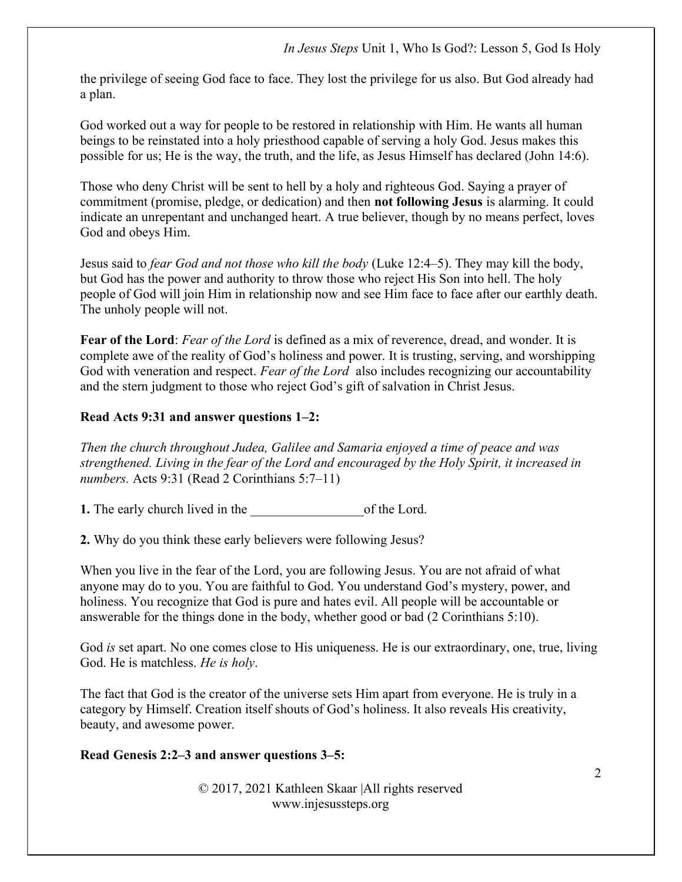the privilege of seeing God face to face. They lost the privilege for us also. But God already had a plan.

God worked out a way for people to be restored in relationship with Him. He wants all human beings to be reinstated into a holy priesthood capable of serving a holy God. Jesus makes this possible for us; He is the way, the truth, and the life, as Jesus Himself has declared (John 14:6).

Those who deny Christ will be sent to hell by a holy and righteous God. Saying a prayer of commitment (promise, pledge, or dedication) and then not following Jesus is alarming. It could indicate an unrepentant and unchanged heart. A true believer, though by no means perfect, loves God and obeys Him.

Jesus said to fear God and not those who kill the body (Luke 12:4–5). They may kill the body, but God has the power and authority to throw those who reject His Son into hell. The holy people of God will join Him in relationship now and see Him face to face after our earthly death. The unholy people will not.

Fear of the Lord: Fear of the Lord is defined as a mix of reverence, dread, and wonder. It is complete awe of the reality of God's holiness and power. It is trusting, serving, and worshipping God with veneration and respect. Fear of the Lord also includes recognizing our accountability and the stern judgment to those who reject God's gift of salvation in Christ Jesus.

## Read Acts 9:31 and answer questions 1–2:

Then the church throughout Judea, Galilee and Samaria enjoyed a time of peace and was strengthened. Living in the fear of the Lord and encouraged by the Holy Spirit, it increased in numbers. Acts 9:31 (Read 2 Corinthians 5:7–11)

1. The early church lived in the of the Lord.

2. Why do you think these early believers were following Jesus?

When you live in the fear of the Lord, you are following Jesus. You are not afraid of what anyone may do to you. You are faithful to God. You understand God's mystery, power, and holiness. You recognize that God is pure and hates evil. All people will be accountable or answerable for the things done in the body, whether good or bad (2 Corinthians 5:10).

God is set apart. No one comes close to His uniqueness. He is our extraordinary, one, true, living God. He is matchless. He is holy.

The fact that God is the creator of the universe sets Him apart from everyone. He is truly in a category by Himself. Creation itself shouts of God's holiness. It also reveals His creativity, beauty, and awesome power.

## Read Genesis 2:2–3 and answer questions 3–5: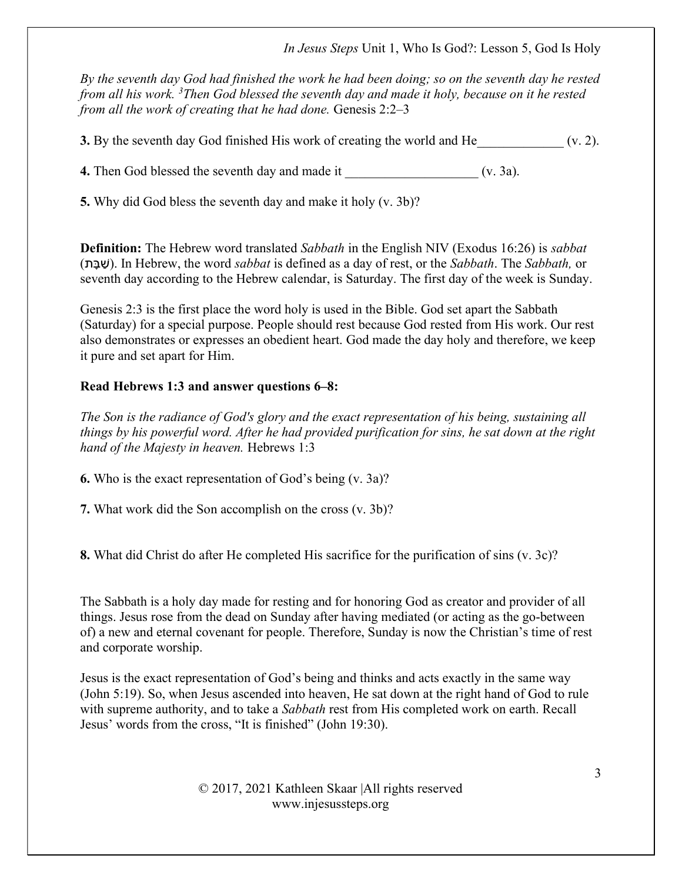In Jesus Steps Unit 1, Who Is God?: Lesson 5, God Is Holy

By the seventh day God had finished the work he had been doing; so on the seventh day he rested from all his work.  $3$ Then God blessed the seventh day and made it holy, because on it he rested from all the work of creating that he had done. Genesis  $2:2-3$ 

**3.** By the seventh day God finished His work of creating the world and He  $(0, 2)$ .

4. Then God blessed the seventh day and made it \_\_\_\_\_\_\_\_\_\_\_\_\_\_\_\_\_\_\_\_ (v. 3a).

5. Why did God bless the seventh day and make it holy (v. 3b)?

**Definition:** The Hebrew word translated Sabbath in the English NIV (Exodus 16:26) is sabbat (בּתָ שַׁ( . In Hebrew, the word sabbat is defined as a day of rest, or the Sabbath. The Sabbath, or seventh day according to the Hebrew calendar, is Saturday. The first day of the week is Sunday.

Genesis 2:3 is the first place the word holy is used in the Bible. God set apart the Sabbath (Saturday) for a special purpose. People should rest because God rested from His work. Our rest also demonstrates or expresses an obedient heart. God made the day holy and therefore, we keep it pure and set apart for Him.

# Read Hebrews 1:3 and answer questions 6–8:

The Son is the radiance of God's glory and the exact representation of his being, sustaining all things by his powerful word. After he had provided purification for sins, he sat down at the right hand of the Majesty in heaven. Hebrews 1:3

6. Who is the exact representation of God's being (v. 3a)?

7. What work did the Son accomplish on the cross (v. 3b)?

8. What did Christ do after He completed His sacrifice for the purification of sins (v. 3c)?

The Sabbath is a holy day made for resting and for honoring God as creator and provider of all things. Jesus rose from the dead on Sunday after having mediated (or acting as the go-between of) a new and eternal covenant for people. Therefore, Sunday is now the Christian's time of rest and corporate worship.

Jesus is the exact representation of God's being and thinks and acts exactly in the same way (John 5:19). So, when Jesus ascended into heaven, He sat down at the right hand of God to rule with supreme authority, and to take a *Sabbath* rest from His completed work on earth. Recall Jesus' words from the cross, "It is finished" (John 19:30).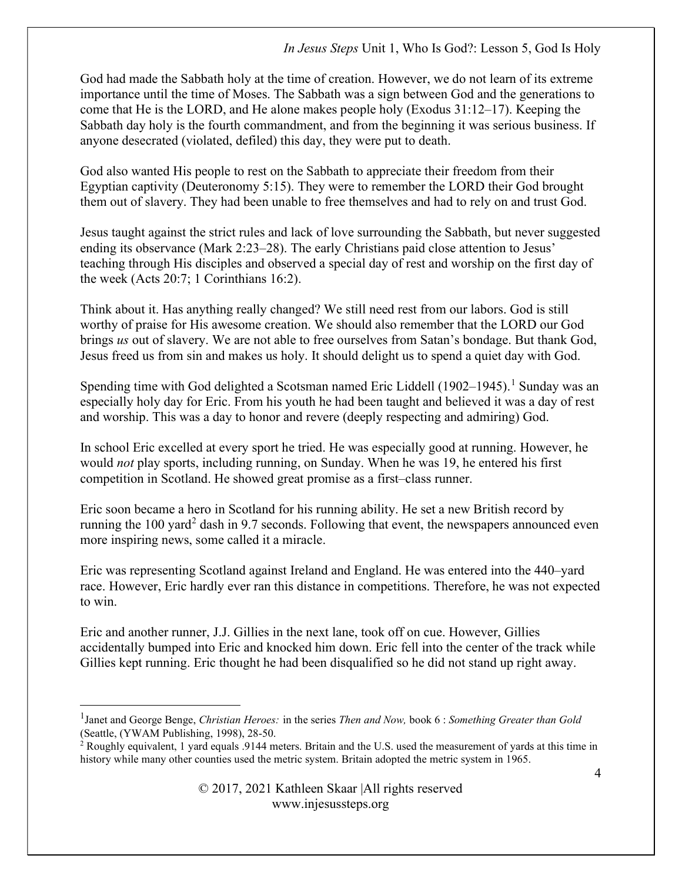God had made the Sabbath holy at the time of creation. However, we do not learn of its extreme importance until the time of Moses. The Sabbath was a sign between God and the generations to come that He is the LORD, and He alone makes people holy (Exodus 31:12–17). Keeping the Sabbath day holy is the fourth commandment, and from the beginning it was serious business. If anyone desecrated (violated, defiled) this day, they were put to death.

God also wanted His people to rest on the Sabbath to appreciate their freedom from their Egyptian captivity (Deuteronomy 5:15). They were to remember the LORD their God brought them out of slavery. They had been unable to free themselves and had to rely on and trust God.

Jesus taught against the strict rules and lack of love surrounding the Sabbath, but never suggested ending its observance (Mark 2:23–28). The early Christians paid close attention to Jesus' teaching through His disciples and observed a special day of rest and worship on the first day of the week (Acts 20:7; 1 Corinthians 16:2).

Think about it. Has anything really changed? We still need rest from our labors. God is still worthy of praise for His awesome creation. We should also remember that the LORD our God brings us out of slavery. We are not able to free ourselves from Satan's bondage. But thank God, Jesus freed us from sin and makes us holy. It should delight us to spend a quiet day with God.

Spending time with God delighted a Scotsman named Eric Liddell  $(1902-1945)$ .<sup>1</sup> Sunday was an especially holy day for Eric. From his youth he had been taught and believed it was a day of rest and worship. This was a day to honor and revere (deeply respecting and admiring) God.

In school Eric excelled at every sport he tried. He was especially good at running. However, he would *not* play sports, including running, on Sunday. When he was 19, he entered his first competition in Scotland. He showed great promise as a first–class runner.

Eric soon became a hero in Scotland for his running ability. He set a new British record by running the 100 yard<sup>2</sup> dash in 9.7 seconds. Following that event, the newspapers announced even more inspiring news, some called it a miracle.

Eric was representing Scotland against Ireland and England. He was entered into the 440–yard race. However, Eric hardly ever ran this distance in competitions. Therefore, he was not expected to win.

Eric and another runner, J.J. Gillies in the next lane, took off on cue. However, Gillies accidentally bumped into Eric and knocked him down. Eric fell into the center of the track while Gillies kept running. Eric thought he had been disqualified so he did not stand up right away.

<sup>&</sup>lt;sup>1</sup>Janet and George Benge, Christian Heroes: in the series Then and Now, book 6: Something Greater than Gold (Seattle, (YWAM Publishing, 1998), 28-50.

<sup>&</sup>lt;sup>2</sup> Roughly equivalent, 1 yard equals .9144 meters. Britain and the U.S. used the measurement of yards at this time in history while many other counties used the metric system. Britain adopted the metric system in 1965.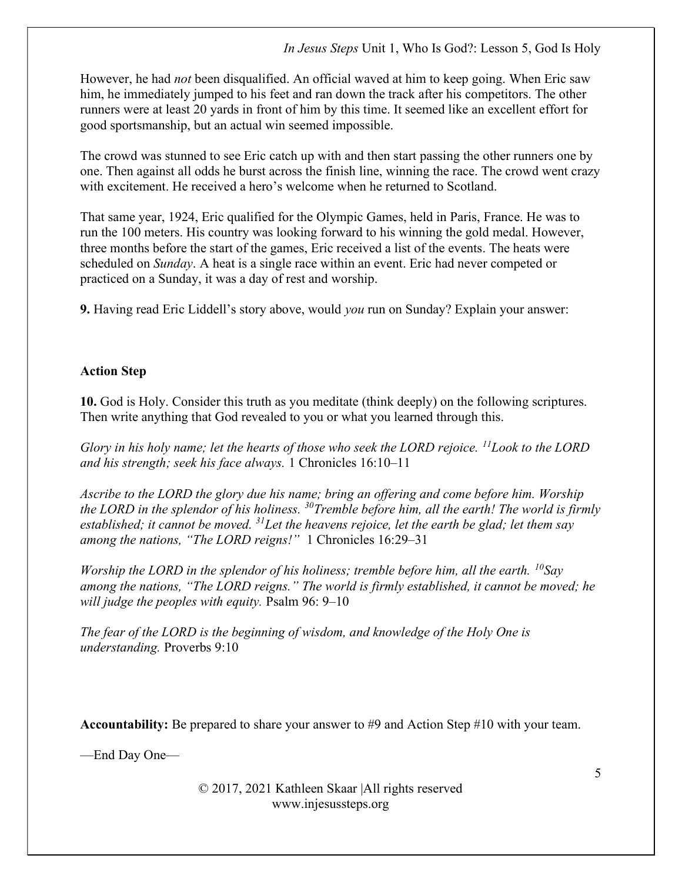However, he had *not* been disqualified. An official waved at him to keep going. When Eric saw him, he immediately jumped to his feet and ran down the track after his competitors. The other runners were at least 20 yards in front of him by this time. It seemed like an excellent effort for good sportsmanship, but an actual win seemed impossible.

The crowd was stunned to see Eric catch up with and then start passing the other runners one by one. Then against all odds he burst across the finish line, winning the race. The crowd went crazy with excitement. He received a hero's welcome when he returned to Scotland.

That same year, 1924, Eric qualified for the Olympic Games, held in Paris, France. He was to run the 100 meters. His country was looking forward to his winning the gold medal. However, three months before the start of the games, Eric received a list of the events. The heats were scheduled on *Sunday*. A heat is a single race within an event. Eric had never competed or practiced on a Sunday, it was a day of rest and worship.

9. Having read Eric Liddell's story above, would you run on Sunday? Explain your answer:

## Action Step

10. God is Holy. Consider this truth as you meditate (think deeply) on the following scriptures. Then write anything that God revealed to you or what you learned through this.

Glory in his holy name; let the hearts of those who seek the LORD rejoice.  $^{11}$ Look to the LORD and his strength; seek his face always. 1 Chronicles 16:10–11

Ascribe to the LORD the glory due his name; bring an offering and come before him. Worship the LORD in the splendor of his holiness.  $30$ Tremble before him, all the earth! The world is firmly established; it cannot be moved. <sup>31</sup>Let the heavens rejoice, let the earth be glad; let them say among the nations, "The LORD reigns!" 1 Chronicles 16:29–31

Worship the LORD in the splendor of his holiness; tremble before him, all the earth.  $^{10}$ Sav among the nations, "The LORD reigns." The world is firmly established, it cannot be moved; he will judge the peoples with equity. Psalm 96: 9–10

The fear of the LORD is the beginning of wisdom, and knowledge of the Holy One is understanding. Proverbs 9:10

Accountability: Be prepared to share your answer to #9 and Action Step #10 with your team.

—End Day One—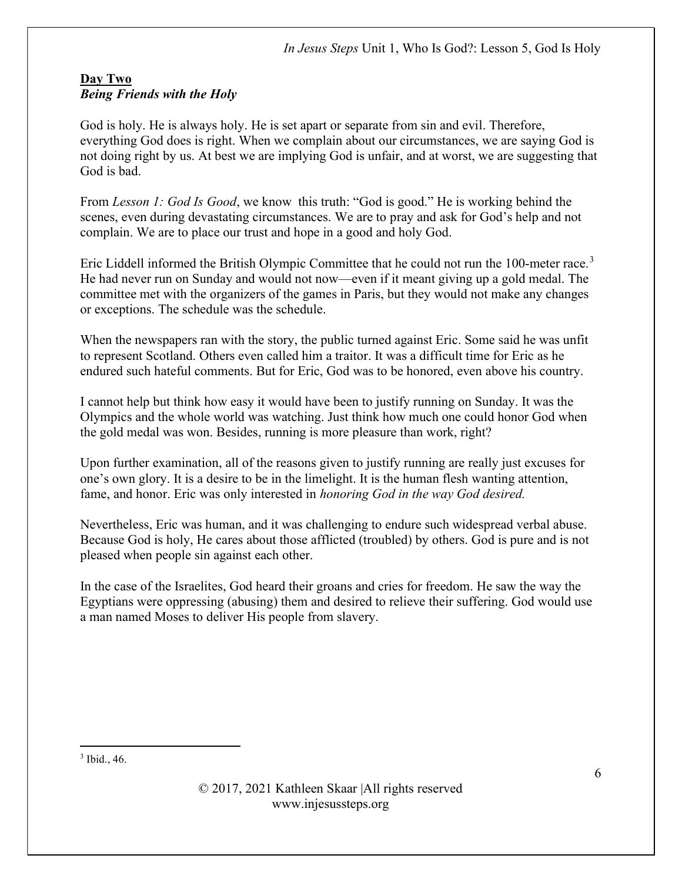#### Day Two Being Friends with the Holy

God is holy. He is always holy. He is set apart or separate from sin and evil. Therefore, everything God does is right. When we complain about our circumstances, we are saying God is not doing right by us. At best we are implying God is unfair, and at worst, we are suggesting that God is bad.

From Lesson 1: God Is Good, we know this truth: "God is good." He is working behind the scenes, even during devastating circumstances. We are to pray and ask for God's help and not complain. We are to place our trust and hope in a good and holy God.

Eric Liddell informed the British Olympic Committee that he could not run the 100-meter race.<sup>3</sup> He had never run on Sunday and would not now—even if it meant giving up a gold medal. The committee met with the organizers of the games in Paris, but they would not make any changes or exceptions. The schedule was the schedule.

When the newspapers ran with the story, the public turned against Eric. Some said he was unfit to represent Scotland. Others even called him a traitor. It was a difficult time for Eric as he endured such hateful comments. But for Eric, God was to be honored, even above his country.

I cannot help but think how easy it would have been to justify running on Sunday. It was the Olympics and the whole world was watching. Just think how much one could honor God when the gold medal was won. Besides, running is more pleasure than work, right?

Upon further examination, all of the reasons given to justify running are really just excuses for one's own glory. It is a desire to be in the limelight. It is the human flesh wanting attention, fame, and honor. Eric was only interested in honoring God in the way God desired.

Nevertheless, Eric was human, and it was challenging to endure such widespread verbal abuse. Because God is holy, He cares about those afflicted (troubled) by others. God is pure and is not pleased when people sin against each other.

In the case of the Israelites, God heard their groans and cries for freedom. He saw the way the Egyptians were oppressing (abusing) them and desired to relieve their suffering. God would use a man named Moses to deliver His people from slavery.

<sup>3</sup> Ibid., 46.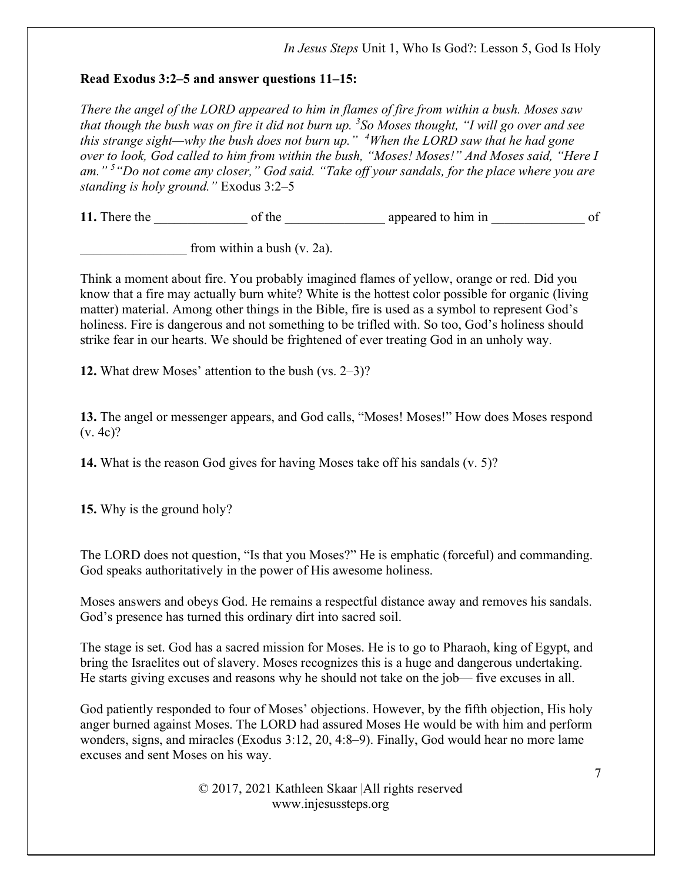## Read Exodus  $3:2-5$  and answer questions  $11-15$ :

There the angel of the LORD appeared to him in flames of fire from within a bush. Moses saw that though the bush was on fire it did not burn up.  ${}^{3}S\sigma$  Moses thought, "I will go over and see this strange sight—why the bush does not burn up."  $4$ When the LORD saw that he had gone over to look, God called to him from within the bush, "Moses! Moses!" And Moses said, "Here I am."<sup>5</sup> "Do not come any closer," God said. "Take off your sandals, for the place where you are standing is holy ground." Exodus  $3:2-5$ 

11. There the of the of the appeared to him in of

from within a bush  $(v. 2a)$ .

Think a moment about fire. You probably imagined flames of yellow, orange or red. Did you know that a fire may actually burn white? White is the hottest color possible for organic (living matter) material. Among other things in the Bible, fire is used as a symbol to represent God's holiness. Fire is dangerous and not something to be trifled with. So too, God's holiness should strike fear in our hearts. We should be frightened of ever treating God in an unholy way.

12. What drew Moses' attention to the bush (vs. 2–3)?

13. The angel or messenger appears, and God calls, "Moses! Moses!" How does Moses respond (v. 4c)?

14. What is the reason God gives for having Moses take off his sandals (v. 5)?

15. Why is the ground holy?

The LORD does not question, "Is that you Moses?" He is emphatic (forceful) and commanding. God speaks authoritatively in the power of His awesome holiness.

Moses answers and obeys God. He remains a respectful distance away and removes his sandals. God's presence has turned this ordinary dirt into sacred soil.

The stage is set. God has a sacred mission for Moses. He is to go to Pharaoh, king of Egypt, and bring the Israelites out of slavery. Moses recognizes this is a huge and dangerous undertaking. He starts giving excuses and reasons why he should not take on the job— five excuses in all.

God patiently responded to four of Moses' objections. However, by the fifth objection, His holy anger burned against Moses. The LORD had assured Moses He would be with him and perform wonders, signs, and miracles (Exodus 3:12, 20, 4:8–9). Finally, God would hear no more lame excuses and sent Moses on his way.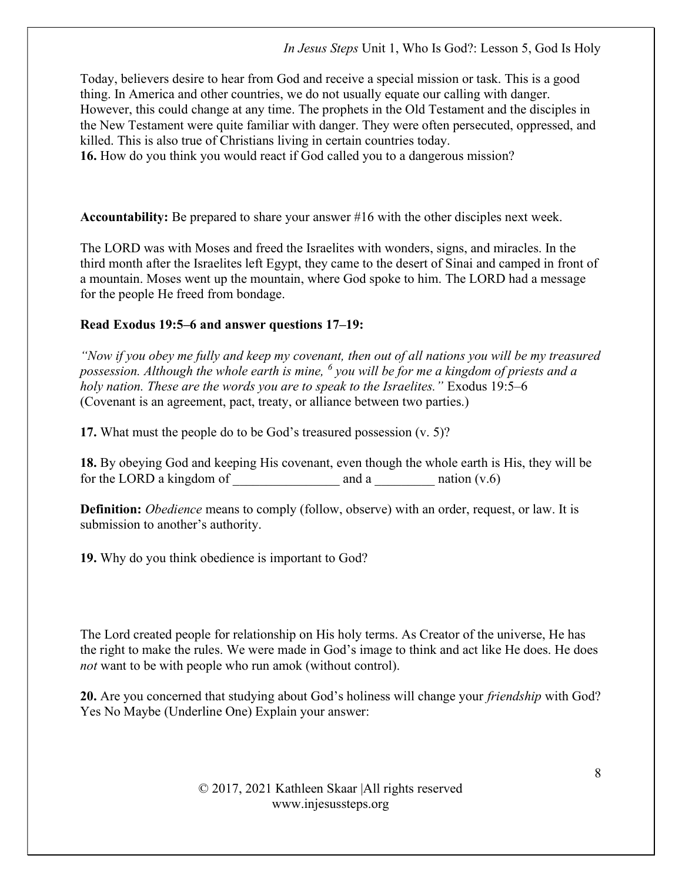Today, believers desire to hear from God and receive a special mission or task. This is a good thing. In America and other countries, we do not usually equate our calling with danger. However, this could change at any time. The prophets in the Old Testament and the disciples in the New Testament were quite familiar with danger. They were often persecuted, oppressed, and killed. This is also true of Christians living in certain countries today.

16. How do you think you would react if God called you to a dangerous mission?

Accountability: Be prepared to share your answer #16 with the other disciples next week.

The LORD was with Moses and freed the Israelites with wonders, signs, and miracles. In the third month after the Israelites left Egypt, they came to the desert of Sinai and camped in front of a mountain. Moses went up the mountain, where God spoke to him. The LORD had a message for the people He freed from bondage.

## Read Exodus 19:5–6 and answer questions 17–19:

"Now if you obey me fully and keep my covenant, then out of all nations you will be my treasured possession. Although the whole earth is mine,  $^6$  you will be for me a kingdom of priests and a holy nation. These are the words you are to speak to the Israelites." Exodus 19:5–6 (Covenant is an agreement, pact, treaty, or alliance between two parties.)

17. What must the people do to be God's treasured possession (v. 5)?

18. By obeying God and keeping His covenant, even though the whole earth is His, they will be for the LORD a kingdom of  $\qquad \qquad \text{and a} \qquad \qquad \text{ntion } (v.6)$ 

**Definition:** *Obedience* means to comply (follow, observe) with an order, request, or law. It is submission to another's authority.

19. Why do you think obedience is important to God?

The Lord created people for relationship on His holy terms. As Creator of the universe, He has the right to make the rules. We were made in God's image to think and act like He does. He does not want to be with people who run amok (without control).

20. Are you concerned that studying about God's holiness will change your *friendship* with God? Yes No Maybe (Underline One) Explain your answer: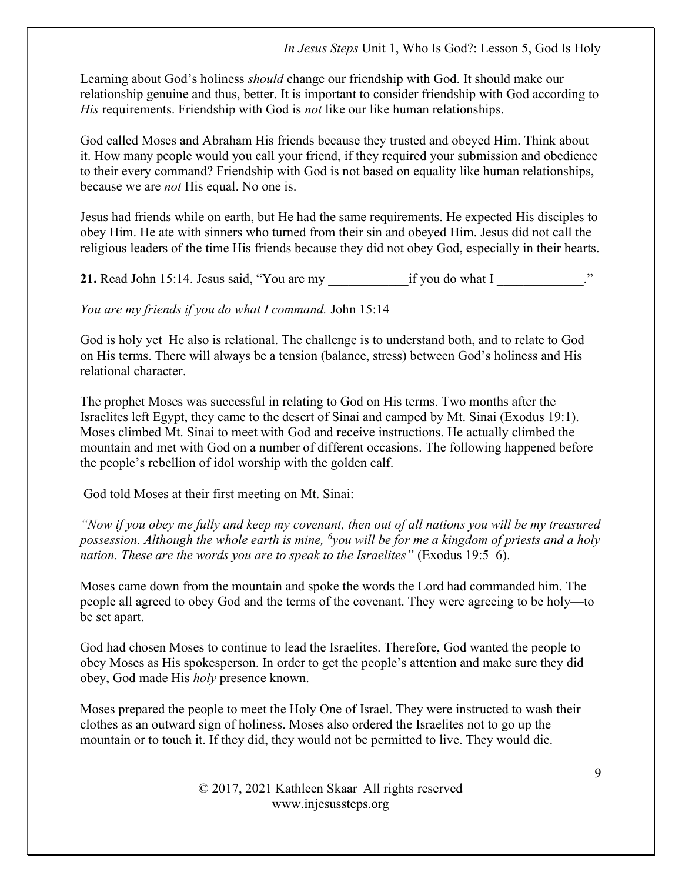Learning about God's holiness *should* change our friendship with God. It should make our relationship genuine and thus, better. It is important to consider friendship with God according to His requirements. Friendship with God is *not* like our like human relationships.

God called Moses and Abraham His friends because they trusted and obeyed Him. Think about it. How many people would you call your friend, if they required your submission and obedience to their every command? Friendship with God is not based on equality like human relationships, because we are not His equal. No one is.

Jesus had friends while on earth, but He had the same requirements. He expected His disciples to obey Him. He ate with sinners who turned from their sin and obeyed Him. Jesus did not call the religious leaders of the time His friends because they did not obey God, especially in their hearts.

21. Read John 15:14. Jesus said, "You are my if you do what I

You are my friends if you do what I command. John 15:14

God is holy yet He also is relational. The challenge is to understand both, and to relate to God on His terms. There will always be a tension (balance, stress) between God's holiness and His relational character.

The prophet Moses was successful in relating to God on His terms. Two months after the Israelites left Egypt, they came to the desert of Sinai and camped by Mt. Sinai (Exodus 19:1). Moses climbed Mt. Sinai to meet with God and receive instructions. He actually climbed the mountain and met with God on a number of different occasions. The following happened before the people's rebellion of idol worship with the golden calf.

God told Moses at their first meeting on Mt. Sinai:

"Now if you obey me fully and keep my covenant, then out of all nations you will be my treasured possession. Although the whole earth is mine, <sup>6</sup>you will be for me a kingdom of priests and a holy nation. These are the words you are to speak to the Israelites" (Exodus 19:5–6).

Moses came down from the mountain and spoke the words the Lord had commanded him. The people all agreed to obey God and the terms of the covenant. They were agreeing to be holy—to be set apart.

God had chosen Moses to continue to lead the Israelites. Therefore, God wanted the people to obey Moses as His spokesperson. In order to get the people's attention and make sure they did obey, God made His holy presence known.

Moses prepared the people to meet the Holy One of Israel. They were instructed to wash their clothes as an outward sign of holiness. Moses also ordered the Israelites not to go up the mountain or to touch it. If they did, they would not be permitted to live. They would die.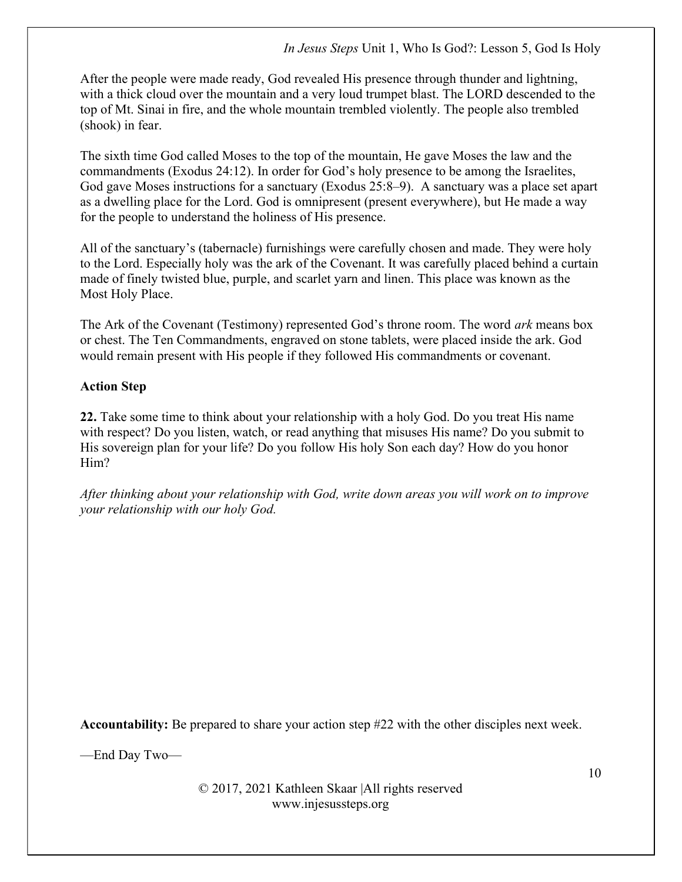After the people were made ready, God revealed His presence through thunder and lightning, with a thick cloud over the mountain and a very loud trumpet blast. The LORD descended to the top of Mt. Sinai in fire, and the whole mountain trembled violently. The people also trembled (shook) in fear.

The sixth time God called Moses to the top of the mountain, He gave Moses the law and the commandments (Exodus 24:12). In order for God's holy presence to be among the Israelites, God gave Moses instructions for a sanctuary (Exodus 25:8–9). A sanctuary was a place set apart as a dwelling place for the Lord. God is omnipresent (present everywhere), but He made a way for the people to understand the holiness of His presence.

All of the sanctuary's (tabernacle) furnishings were carefully chosen and made. They were holy to the Lord. Especially holy was the ark of the Covenant. It was carefully placed behind a curtain made of finely twisted blue, purple, and scarlet yarn and linen. This place was known as the Most Holy Place.

The Ark of the Covenant (Testimony) represented God's throne room. The word *ark* means box or chest. The Ten Commandments, engraved on stone tablets, were placed inside the ark. God would remain present with His people if they followed His commandments or covenant.

# Action Step

22. Take some time to think about your relationship with a holy God. Do you treat His name with respect? Do you listen, watch, or read anything that misuses His name? Do you submit to His sovereign plan for your life? Do you follow His holy Son each day? How do you honor Him?

After thinking about your relationship with God, write down areas you will work on to improve your relationship with our holy God.

Accountability: Be prepared to share your action step #22 with the other disciples next week.

—End Day Two—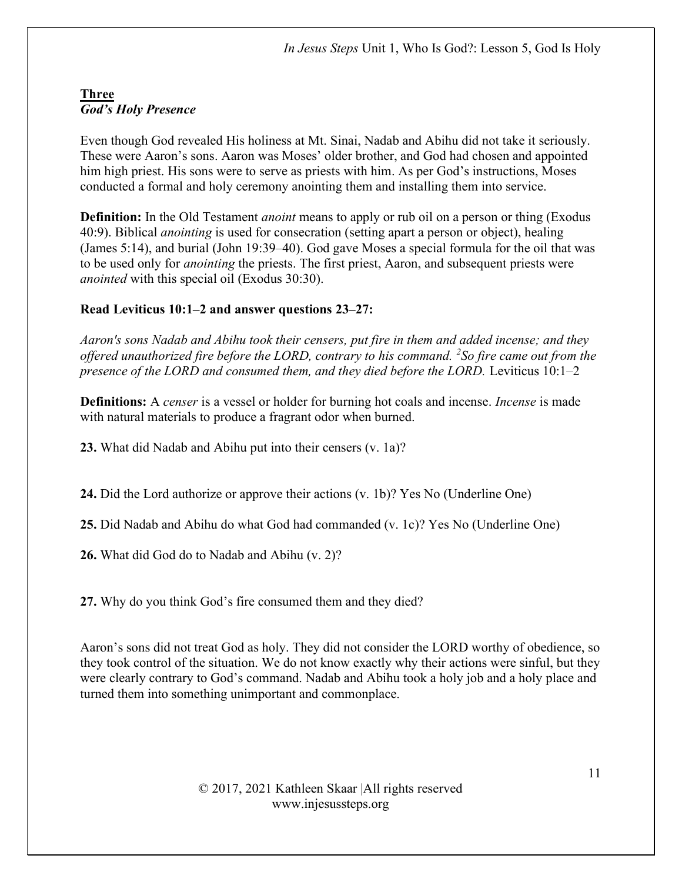# Three God's Holy Presence

Even though God revealed His holiness at Mt. Sinai, Nadab and Abihu did not take it seriously. These were Aaron's sons. Aaron was Moses' older brother, and God had chosen and appointed him high priest. His sons were to serve as priests with him. As per God's instructions, Moses conducted a formal and holy ceremony anointing them and installing them into service.

**Definition:** In the Old Testament *anoint* means to apply or rub oil on a person or thing (Exodus 40:9). Biblical anointing is used for consecration (setting apart a person or object), healing (James 5:14), and burial (John 19:39–40). God gave Moses a special formula for the oil that was to be used only for anointing the priests. The first priest, Aaron, and subsequent priests were anointed with this special oil (Exodus 30:30).

# Read Leviticus  $10:1-2$  and answer questions  $23-27$ :

Aaron's sons Nadab and Abihu took their censers, put fire in them and added incense; and they offered unauthorized fire before the LORD, contrary to his command.  $^{2}$ So fire came out from the presence of the LORD and consumed them, and they died before the LORD. Leviticus  $10:1-2$ 

**Definitions:** A *censer* is a vessel or holder for burning hot coals and incense. *Incense* is made with natural materials to produce a fragrant odor when burned.

23. What did Nadab and Abihu put into their censers (v. 1a)?

24. Did the Lord authorize or approve their actions (v. 1b)? Yes No (Underline One)

25. Did Nadab and Abihu do what God had commanded (v. 1c)? Yes No (Underline One)

26. What did God do to Nadab and Abihu (v. 2)?

27. Why do you think God's fire consumed them and they died?

Aaron's sons did not treat God as holy. They did not consider the LORD worthy of obedience, so they took control of the situation. We do not know exactly why their actions were sinful, but they were clearly contrary to God's command. Nadab and Abihu took a holy job and a holy place and turned them into something unimportant and commonplace.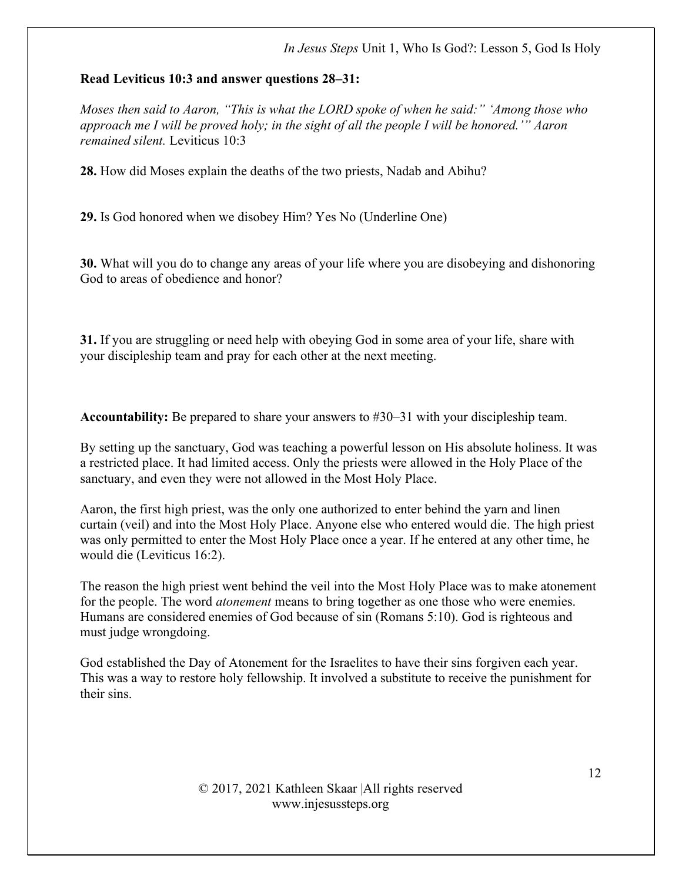#### Read Leviticus 10:3 and answer questions 28–31:

Moses then said to Aaron, "This is what the LORD spoke of when he said:" 'Among those who approach me I will be proved holy; in the sight of all the people I will be honored.'" Aaron remained silent. Leviticus 10:3

28. How did Moses explain the deaths of the two priests, Nadab and Abihu?

29. Is God honored when we disobey Him? Yes No (Underline One)

30. What will you do to change any areas of your life where you are disobeying and dishonoring God to areas of obedience and honor?

31. If you are struggling or need help with obeying God in some area of your life, share with your discipleship team and pray for each other at the next meeting.

Accountability: Be prepared to share your answers to #30–31 with your discipleship team.

By setting up the sanctuary, God was teaching a powerful lesson on His absolute holiness. It was a restricted place. It had limited access. Only the priests were allowed in the Holy Place of the sanctuary, and even they were not allowed in the Most Holy Place.

Aaron, the first high priest, was the only one authorized to enter behind the yarn and linen curtain (veil) and into the Most Holy Place. Anyone else who entered would die. The high priest was only permitted to enter the Most Holy Place once a year. If he entered at any other time, he would die (Leviticus 16:2).

The reason the high priest went behind the veil into the Most Holy Place was to make atonement for the people. The word *atonement* means to bring together as one those who were enemies. Humans are considered enemies of God because of sin (Romans 5:10). God is righteous and must judge wrongdoing.

God established the Day of Atonement for the Israelites to have their sins forgiven each year. This was a way to restore holy fellowship. It involved a substitute to receive the punishment for their sins.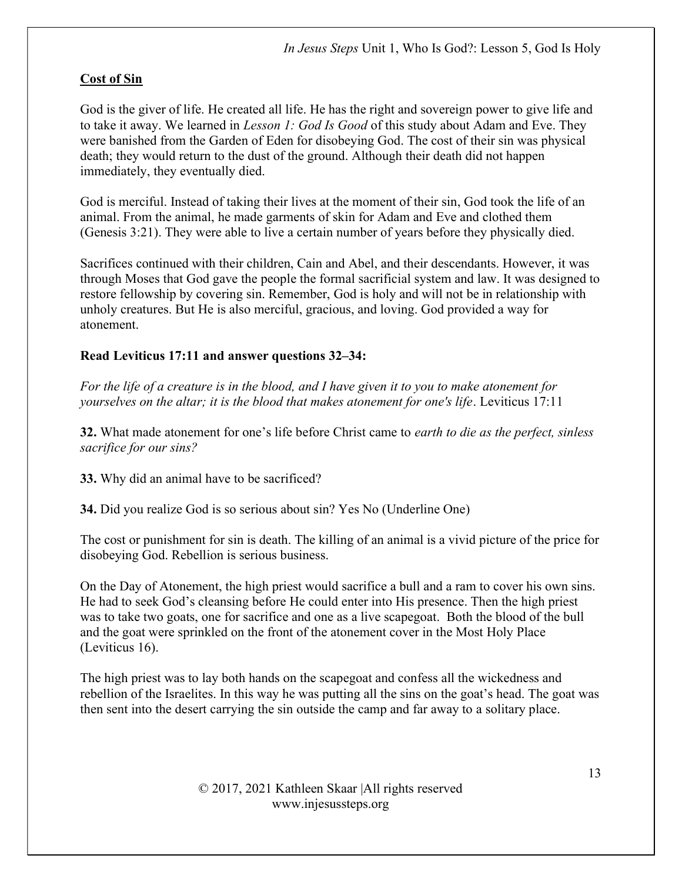# Cost of Sin

God is the giver of life. He created all life. He has the right and sovereign power to give life and to take it away. We learned in *Lesson 1: God Is Good* of this study about Adam and Eve. They were banished from the Garden of Eden for disobeying God. The cost of their sin was physical death; they would return to the dust of the ground. Although their death did not happen immediately, they eventually died.

God is merciful. Instead of taking their lives at the moment of their sin, God took the life of an animal. From the animal, he made garments of skin for Adam and Eve and clothed them (Genesis 3:21). They were able to live a certain number of years before they physically died.

Sacrifices continued with their children, Cain and Abel, and their descendants. However, it was through Moses that God gave the people the formal sacrificial system and law. It was designed to restore fellowship by covering sin. Remember, God is holy and will not be in relationship with unholy creatures. But He is also merciful, gracious, and loving. God provided a way for atonement.

## Read Leviticus 17:11 and answer questions 32–34:

For the life of a creature is in the blood, and I have given it to you to make atonement for yourselves on the altar; it is the blood that makes atonement for one's life. Leviticus 17:11

32. What made atonement for one's life before Christ came to *earth to die as the perfect, sinless* sacrifice for our sins?

33. Why did an animal have to be sacrificed?

34. Did you realize God is so serious about sin? Yes No (Underline One)

The cost or punishment for sin is death. The killing of an animal is a vivid picture of the price for disobeying God. Rebellion is serious business.

On the Day of Atonement, the high priest would sacrifice a bull and a ram to cover his own sins. He had to seek God's cleansing before He could enter into His presence. Then the high priest was to take two goats, one for sacrifice and one as a live scapegoat. Both the blood of the bull and the goat were sprinkled on the front of the atonement cover in the Most Holy Place (Leviticus 16).

The high priest was to lay both hands on the scapegoat and confess all the wickedness and rebellion of the Israelites. In this way he was putting all the sins on the goat's head. The goat was then sent into the desert carrying the sin outside the camp and far away to a solitary place.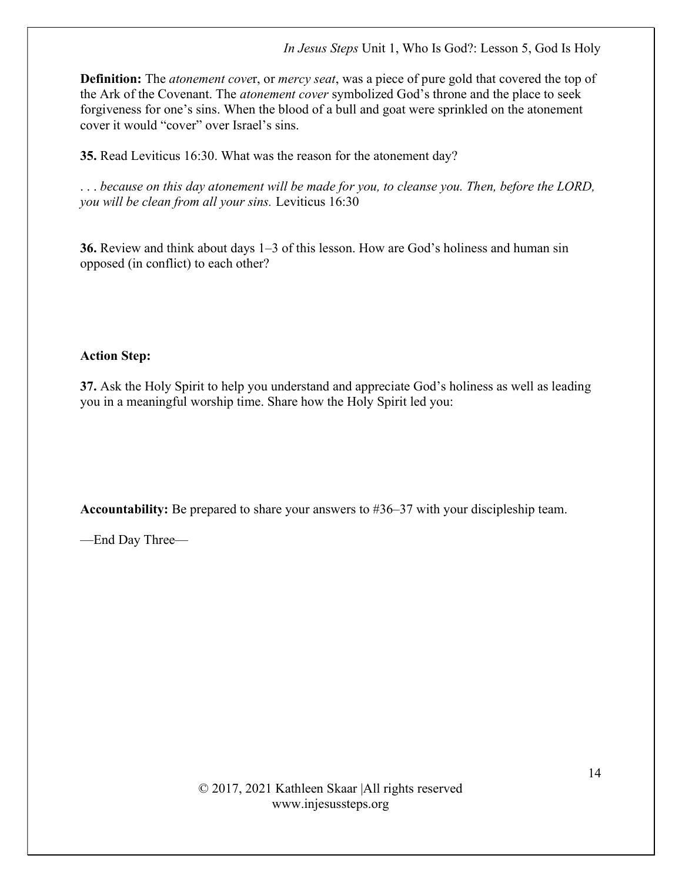In Jesus Steps Unit 1, Who Is God?: Lesson 5, God Is Holy

**Definition:** The *atonement cover*, or *mercy seat*, was a piece of pure gold that covered the top of the Ark of the Covenant. The atonement cover symbolized God's throne and the place to seek forgiveness for one's sins. When the blood of a bull and goat were sprinkled on the atonement cover it would "cover" over Israel's sins.

35. Read Leviticus 16:30. What was the reason for the atonement day?

. . . because on this day atonement will be made for you, to cleanse you. Then, before the LORD, you will be clean from all your sins. Leviticus 16:30

36. Review and think about days 1–3 of this lesson. How are God's holiness and human sin opposed (in conflict) to each other?

#### Action Step:

37. Ask the Holy Spirit to help you understand and appreciate God's holiness as well as leading you in a meaningful worship time. Share how the Holy Spirit led you:

Accountability: Be prepared to share your answers to #36–37 with your discipleship team.

—End Day Three—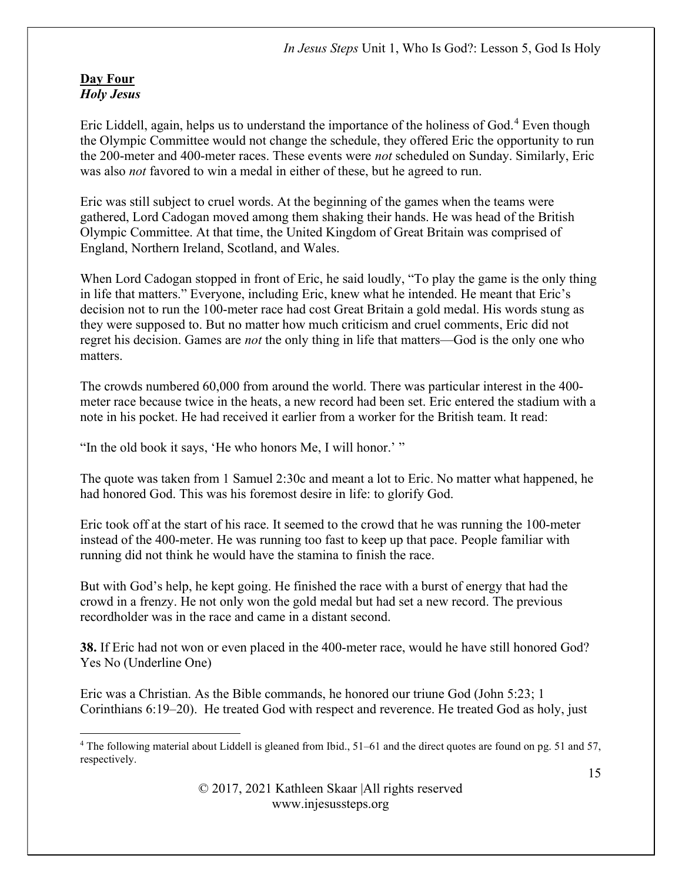#### Day Four Holy Jesus

Eric Liddell, again, helps us to understand the importance of the holiness of God.<sup>4</sup> Even though the Olympic Committee would not change the schedule, they offered Eric the opportunity to run the 200-meter and 400-meter races. These events were *not* scheduled on Sunday. Similarly, Eric was also not favored to win a medal in either of these, but he agreed to run.

Eric was still subject to cruel words. At the beginning of the games when the teams were gathered, Lord Cadogan moved among them shaking their hands. He was head of the British Olympic Committee. At that time, the United Kingdom of Great Britain was comprised of England, Northern Ireland, Scotland, and Wales.

When Lord Cadogan stopped in front of Eric, he said loudly, "To play the game is the only thing in life that matters." Everyone, including Eric, knew what he intended. He meant that Eric's decision not to run the 100-meter race had cost Great Britain a gold medal. His words stung as they were supposed to. But no matter how much criticism and cruel comments, Eric did not regret his decision. Games are not the only thing in life that matters—God is the only one who matters.

The crowds numbered 60,000 from around the world. There was particular interest in the 400 meter race because twice in the heats, a new record had been set. Eric entered the stadium with a note in his pocket. He had received it earlier from a worker for the British team. It read:

"In the old book it says, 'He who honors Me, I will honor.' "

The quote was taken from 1 Samuel 2:30c and meant a lot to Eric. No matter what happened, he had honored God. This was his foremost desire in life: to glorify God.

Eric took off at the start of his race. It seemed to the crowd that he was running the 100-meter instead of the 400-meter. He was running too fast to keep up that pace. People familiar with running did not think he would have the stamina to finish the race.

But with God's help, he kept going. He finished the race with a burst of energy that had the crowd in a frenzy. He not only won the gold medal but had set a new record. The previous recordholder was in the race and came in a distant second.

38. If Eric had not won or even placed in the 400-meter race, would he have still honored God? Yes No (Underline One)

Eric was a Christian. As the Bible commands, he honored our triune God (John 5:23; 1 Corinthians 6:19–20). He treated God with respect and reverence. He treated God as holy, just

<sup>4</sup> The following material about Liddell is gleaned from Ibid., 51–61 and the direct quotes are found on pg. 51 and 57, respectively.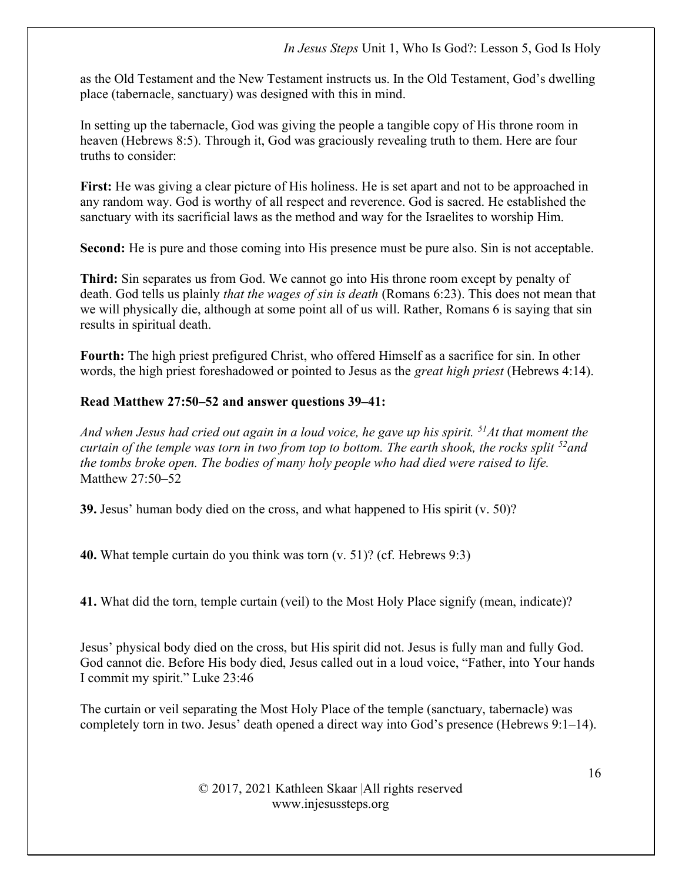#### In Jesus Steps Unit 1, Who Is God?: Lesson 5, God Is Holy

as the Old Testament and the New Testament instructs us. In the Old Testament, God's dwelling place (tabernacle, sanctuary) was designed with this in mind.

In setting up the tabernacle, God was giving the people a tangible copy of His throne room in heaven (Hebrews 8:5). Through it, God was graciously revealing truth to them. Here are four truths to consider:

First: He was giving a clear picture of His holiness. He is set apart and not to be approached in any random way. God is worthy of all respect and reverence. God is sacred. He established the sanctuary with its sacrificial laws as the method and way for the Israelites to worship Him.

Second: He is pure and those coming into His presence must be pure also. Sin is not acceptable.

Third: Sin separates us from God. We cannot go into His throne room except by penalty of death. God tells us plainly *that the wages of sin is death* (Romans 6:23). This does not mean that we will physically die, although at some point all of us will. Rather, Romans 6 is saying that sin results in spiritual death.

Fourth: The high priest prefigured Christ, who offered Himself as a sacrifice for sin. In other words, the high priest foreshadowed or pointed to Jesus as the great high priest (Hebrews 4:14).

#### Read Matthew 27:50–52 and answer questions 39–41:

And when Jesus had cried out again in a loud voice, he gave up his spirit.  $51$ At that moment the curtain of the temple was torn in two from top to bottom. The earth shook, the rocks split  $^{52}$  and the tombs broke open. The bodies of many holy people who had died were raised to life. Matthew 27:50–52

39. Jesus' human body died on the cross, and what happened to His spirit (v. 50)?

40. What temple curtain do you think was torn (v. 51)? (cf. Hebrews 9:3)

41. What did the torn, temple curtain (veil) to the Most Holy Place signify (mean, indicate)?

Jesus' physical body died on the cross, but His spirit did not. Jesus is fully man and fully God. God cannot die. Before His body died, Jesus called out in a loud voice, "Father, into Your hands I commit my spirit." Luke 23:46

The curtain or veil separating the Most Holy Place of the temple (sanctuary, tabernacle) was completely torn in two. Jesus' death opened a direct way into God's presence (Hebrews 9:1–14).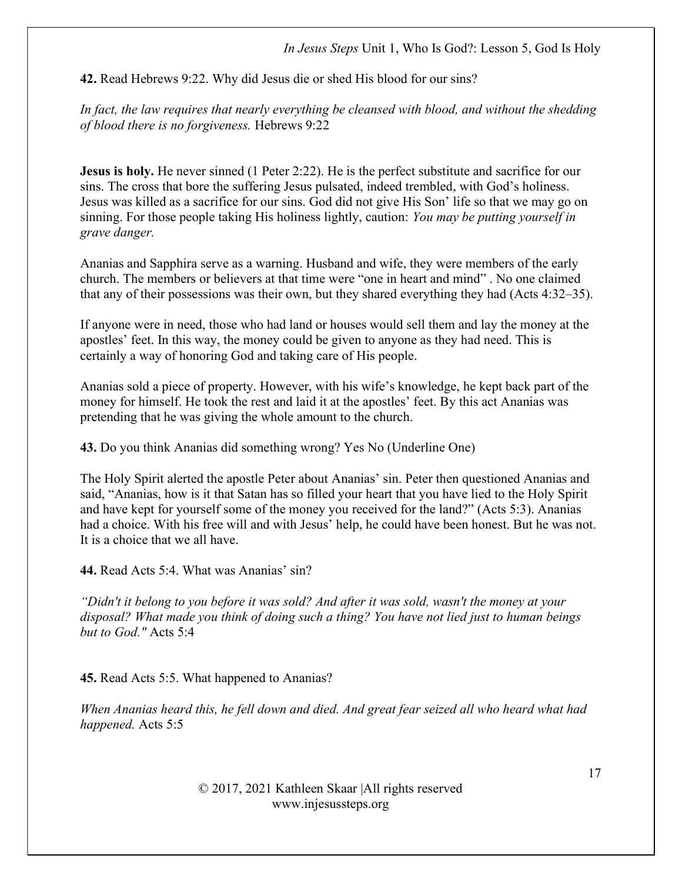42. Read Hebrews 9:22. Why did Jesus die or shed His blood for our sins?

In fact, the law requires that nearly everything be cleansed with blood, and without the shedding of blood there is no forgiveness. Hebrews 9:22

Jesus is holy. He never sinned (1 Peter 2:22). He is the perfect substitute and sacrifice for our sins. The cross that bore the suffering Jesus pulsated, indeed trembled, with God's holiness. Jesus was killed as a sacrifice for our sins. God did not give His Son' life so that we may go on sinning. For those people taking His holiness lightly, caution: You may be putting vourself in grave danger.

Ananias and Sapphira serve as a warning. Husband and wife, they were members of the early church. The members or believers at that time were "one in heart and mind" . No one claimed that any of their possessions was their own, but they shared everything they had (Acts 4:32–35).

If anyone were in need, those who had land or houses would sell them and lay the money at the apostles' feet. In this way, the money could be given to anyone as they had need. This is certainly a way of honoring God and taking care of His people.

Ananias sold a piece of property. However, with his wife's knowledge, he kept back part of the money for himself. He took the rest and laid it at the apostles' feet. By this act Ananias was pretending that he was giving the whole amount to the church.

43. Do you think Ananias did something wrong? Yes No (Underline One)

The Holy Spirit alerted the apostle Peter about Ananias' sin. Peter then questioned Ananias and said, "Ananias, how is it that Satan has so filled your heart that you have lied to the Holy Spirit and have kept for yourself some of the money you received for the land?" (Acts 5:3). Ananias had a choice. With his free will and with Jesus' help, he could have been honest. But he was not. It is a choice that we all have.

44. Read Acts 5:4. What was Ananias' sin?

"Didn't it belong to you before it was sold? And after it was sold, wasn't the money at your disposal? What made you think of doing such a thing? You have not lied just to human beings but to God." Acts 5:4

45. Read Acts 5:5. What happened to Ananias?

When Ananias heard this, he fell down and died. And great fear seized all who heard what had happened. Acts 5:5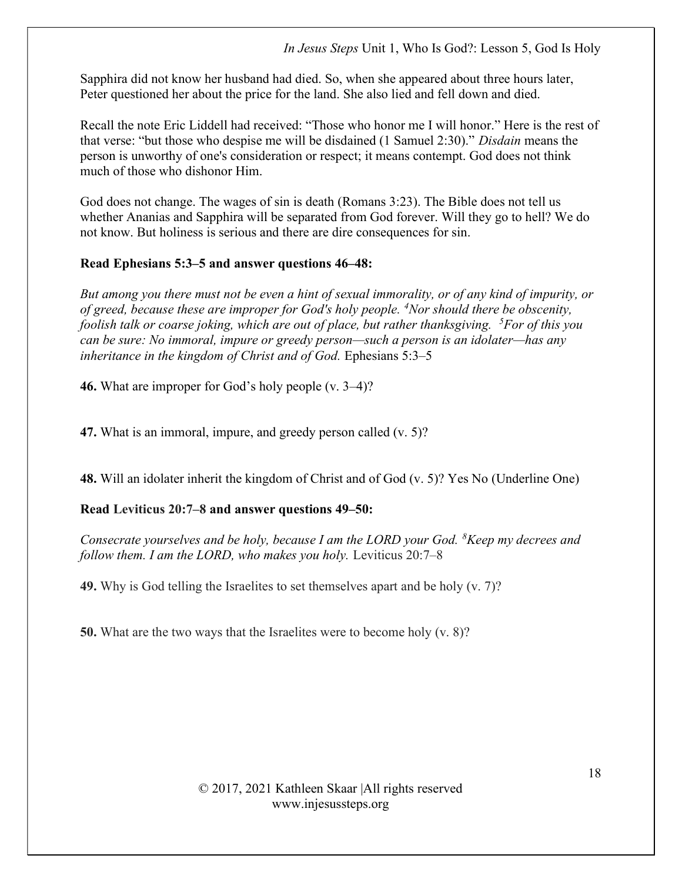Sapphira did not know her husband had died. So, when she appeared about three hours later, Peter questioned her about the price for the land. She also lied and fell down and died.

Recall the note Eric Liddell had received: "Those who honor me I will honor." Here is the rest of that verse: "but those who despise me will be disdained (1 Samuel 2:30)." Disdain means the person is unworthy of one's consideration or respect; it means contempt. God does not think much of those who dishonor Him.

God does not change. The wages of sin is death (Romans 3:23). The Bible does not tell us whether Ananias and Sapphira will be separated from God forever. Will they go to hell? We do not know. But holiness is serious and there are dire consequences for sin.

## Read Ephesians 5:3–5 and answer questions 46–48:

But among you there must not be even a hint of sexual immorality, or of any kind of impurity, or of greed, because these are improper for God's holy people.  $4$ Nor should there be obscenity, foolish talk or coarse joking, which are out of place, but rather thanksgiving.  $5$ For of this you can be sure: No immoral, impure or greedy person—such a person is an idolater—has any inheritance in the kingdom of Christ and of God. Ephesians 5:3–5

46. What are improper for God's holy people (v. 3–4)?

47. What is an immoral, impure, and greedy person called (v. 5)?

48. Will an idolater inherit the kingdom of Christ and of God (v. 5)? Yes No (Underline One)

## Read Leviticus 20:7–8 and answer questions 49–50:

Consecrate yourselves and be holy, because I am the LORD your God.  ${}^{8}$ Keep my decrees and follow them. I am the LORD, who makes you holy. Leviticus 20:7–8

49. Why is God telling the Israelites to set themselves apart and be holy (v. 7)?

50. What are the two ways that the Israelites were to become holy (v. 8)?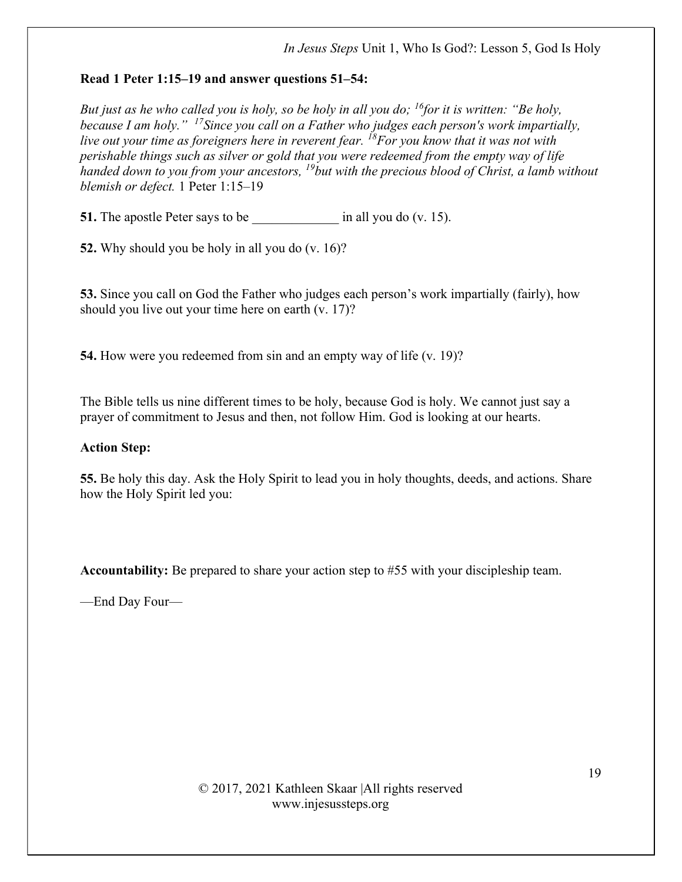## Read 1 Peter 1:15–19 and answer questions 51–54:

But just as he who called you is holy, so be holy in all you do; <sup>16</sup>for it is written: "Be holy, because I am holy." <sup>17</sup>Since you call on a Father who judges each person's work impartially, live out your time as foreigners here in reverent fear.  $^{18}$  For you know that it was not with perishable things such as silver or gold that you were redeemed from the empty way of life handed down to you from your ancestors,  $^{19}$ but with the precious blood of Christ, a lamb without blemish or defect. 1 Peter 1:15–19

51. The apostle Peter says to be  $\qquad \qquad$  in all you do (v. 15).

52. Why should you be holy in all you do (v. 16)?

53. Since you call on God the Father who judges each person's work impartially (fairly), how should you live out your time here on earth (v. 17)?

54. How were you redeemed from sin and an empty way of life (v. 19)?

The Bible tells us nine different times to be holy, because God is holy. We cannot just say a prayer of commitment to Jesus and then, not follow Him. God is looking at our hearts.

## Action Step:

55. Be holy this day. Ask the Holy Spirit to lead you in holy thoughts, deeds, and actions. Share how the Holy Spirit led you:

Accountability: Be prepared to share your action step to #55 with your discipleship team.

—End Day Four—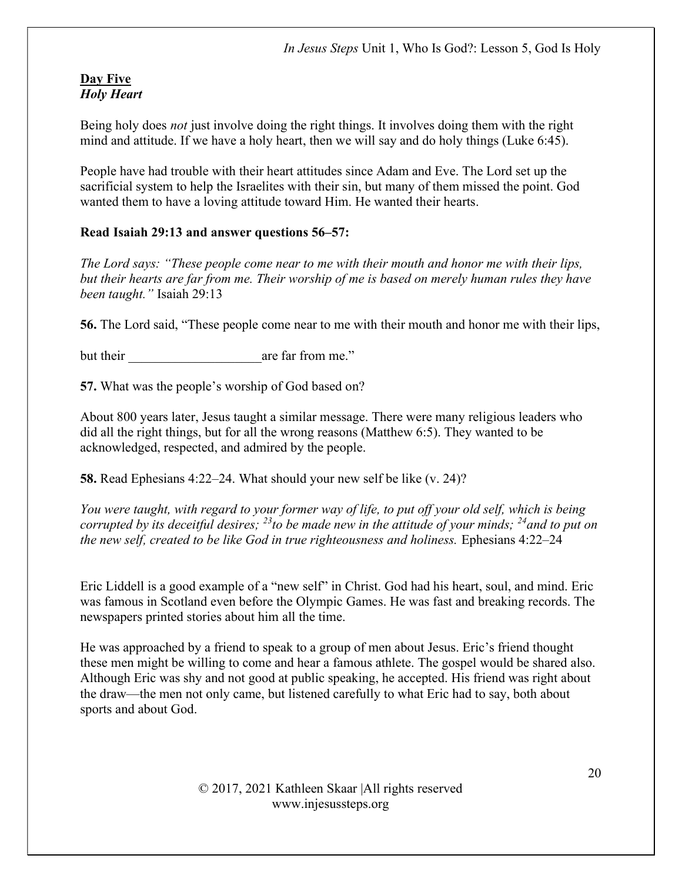#### Day Five Holy Heart

Being holy does *not* just involve doing the right things. It involves doing them with the right mind and attitude. If we have a holy heart, then we will say and do holy things (Luke 6:45).

People have had trouble with their heart attitudes since Adam and Eve. The Lord set up the sacrificial system to help the Israelites with their sin, but many of them missed the point. God wanted them to have a loving attitude toward Him. He wanted their hearts.

# Read Isaiah 29:13 and answer questions 56–57:

The Lord says: "These people come near to me with their mouth and honor me with their lips, but their hearts are far from me. Their worship of me is based on merely human rules they have been taught." Isaiah 29:13

56. The Lord said, "These people come near to me with their mouth and honor me with their lips,

but their are far from me."

57. What was the people's worship of God based on?

About 800 years later, Jesus taught a similar message. There were many religious leaders who did all the right things, but for all the wrong reasons (Matthew 6:5). They wanted to be acknowledged, respected, and admired by the people.

58. Read Ephesians 4:22–24. What should your new self be like (v. 24)?

You were taught, with regard to your former way of life, to put off your old self, which is being corrupted by its deceitful desires;  $^{23}$  to be made new in the attitude of your minds;  $^{24}$  and to put on the new self, created to be like God in true righteousness and holiness. Ephesians 4:22–24

Eric Liddell is a good example of a "new self" in Christ. God had his heart, soul, and mind. Eric was famous in Scotland even before the Olympic Games. He was fast and breaking records. The newspapers printed stories about him all the time.

He was approached by a friend to speak to a group of men about Jesus. Eric's friend thought these men might be willing to come and hear a famous athlete. The gospel would be shared also. Although Eric was shy and not good at public speaking, he accepted. His friend was right about the draw—the men not only came, but listened carefully to what Eric had to say, both about sports and about God.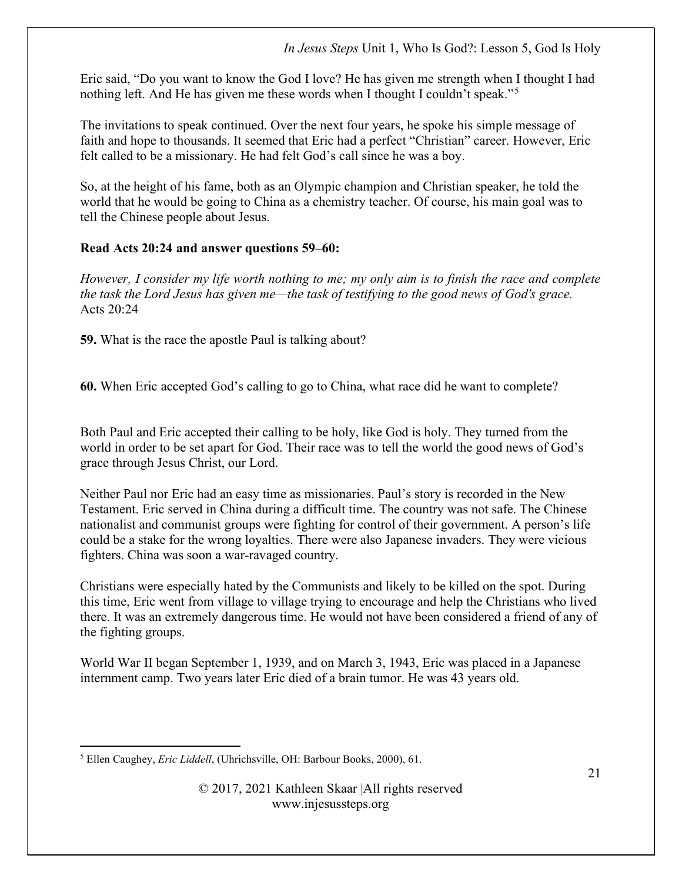Eric said, "Do you want to know the God I love? He has given me strength when I thought I had nothing left. And He has given me these words when I thought I couldn't speak."<sup>5</sup>

The invitations to speak continued. Over the next four years, he spoke his simple message of faith and hope to thousands. It seemed that Eric had a perfect "Christian" career. However, Eric felt called to be a missionary. He had felt God's call since he was a boy.

So, at the height of his fame, both as an Olympic champion and Christian speaker, he told the world that he would be going to China as a chemistry teacher. Of course, his main goal was to tell the Chinese people about Jesus.

# Read Acts 20:24 and answer questions 59–60:

However, I consider my life worth nothing to me; my only aim is to finish the race and complete the task the Lord Jesus has given me—the task of testifying to the good news of God's grace. Acts  $20:24$ 

59. What is the race the apostle Paul is talking about?

60. When Eric accepted God's calling to go to China, what race did he want to complete?

Both Paul and Eric accepted their calling to be holy, like God is holy. They turned from the world in order to be set apart for God. Their race was to tell the world the good news of God's grace through Jesus Christ, our Lord.

Neither Paul nor Eric had an easy time as missionaries. Paul's story is recorded in the New Testament. Eric served in China during a difficult time. The country was not safe. The Chinese nationalist and communist groups were fighting for control of their government. A person's life could be a stake for the wrong loyalties. There were also Japanese invaders. They were vicious fighters. China was soon a war-ravaged country.

Christians were especially hated by the Communists and likely to be killed on the spot. During this time, Eric went from village to village trying to encourage and help the Christians who lived there. It was an extremely dangerous time. He would not have been considered a friend of any of the fighting groups.

World War II began September 1, 1939, and on March 3, 1943, Eric was placed in a Japanese internment camp. Two years later Eric died of a brain tumor. He was 43 years old.

<sup>&</sup>lt;sup>5</sup> Ellen Caughey, Eric Liddell, (Uhrichsville, OH: Barbour Books, 2000), 61.